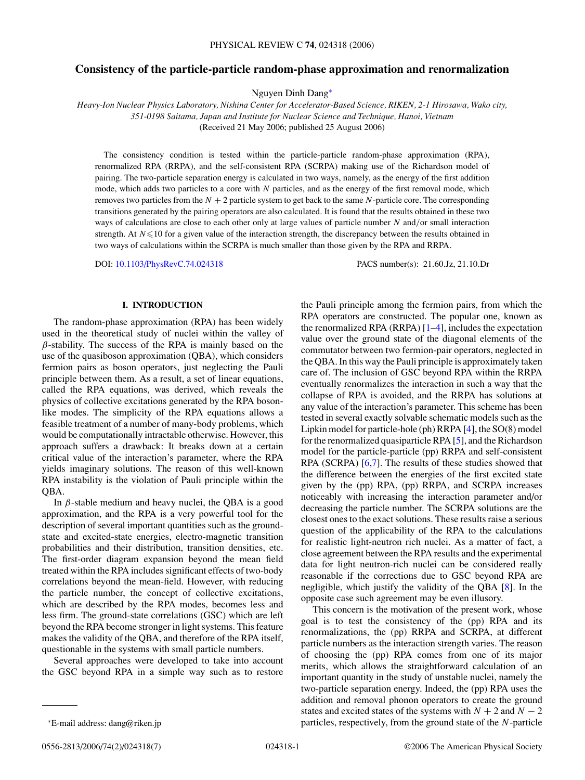# **Consistency of the particle-particle random-phase approximation and renormalization**

Nguyen Dinh Dang<sup>∗</sup>

*Heavy-Ion Nuclear Physics Laboratory, Nishina Center for Accelerator-Based Science, RIKEN, 2-1 Hirosawa, Wako city, 351-0198 Saitama, Japan and Institute for Nuclear Science and Technique, Hanoi, Vietnam* (Received 21 May 2006; published 25 August 2006)

The consistency condition is tested within the particle-particle random-phase approximation (RPA), renormalized RPA (RRPA), and the self-consistent RPA (SCRPA) making use of the Richardson model of pairing. The two-particle separation energy is calculated in two ways, namely, as the energy of the first addition mode, which adds two particles to a core with *N* particles, and as the energy of the first removal mode, which removes two particles from the  $N + 2$  particle system to get back to the same  $N$ -particle core. The corresponding transitions generated by the pairing operators are also calculated. It is found that the results obtained in these two ways of calculations are close to each other only at large values of particle number *N* and*/*or small interaction strength. At  $N \leq 10$  for a given value of the interaction strength, the discrepancy between the results obtained in two ways of calculations within the SCRPA is much smaller than those given by the RPA and RRPA.

DOI: [10.1103/PhysRevC.74.024318](http://dx.doi.org/10.1103/PhysRevC.74.024318) PACS number(s): 21*.*60*.*Jz, 21*.*10*.*Dr

## **I. INTRODUCTION**

The random-phase approximation (RPA) has been widely used in the theoretical study of nuclei within the valley of *β*-stability. The success of the RPA is mainly based on the use of the quasiboson approximation (QBA), which considers fermion pairs as boson operators, just neglecting the Pauli principle between them. As a result, a set of linear equations, called the RPA equations, was derived, which reveals the physics of collective excitations generated by the RPA bosonlike modes. The simplicity of the RPA equations allows a feasible treatment of a number of many-body problems, which would be computationally intractable otherwise. However, this approach suffers a drawback: It breaks down at a certain critical value of the interaction's parameter, where the RPA yields imaginary solutions. The reason of this well-known RPA instability is the violation of Pauli principle within the QBA.

In *β*-stable medium and heavy nuclei, the QBA is a good approximation, and the RPA is a very powerful tool for the description of several important quantities such as the groundstate and excited-state energies, electro-magnetic transition probabilities and their distribution, transition densities, etc. The first-order diagram expansion beyond the mean field treated within the RPA includes significant effects of two-body correlations beyond the mean-field. However, with reducing the particle number, the concept of collective excitations, which are described by the RPA modes, becomes less and less firm. The ground-state correlations (GSC) which are left beyond the RPA become stronger in light systems. This feature makes the validity of the QBA, and therefore of the RPA itself, questionable in the systems with small particle numbers.

Several approaches were developed to take into account the GSC beyond RPA in a simple way such as to restore

the Pauli principle among the fermion pairs, from which the RPA operators are constructed. The popular one, known as the renormalized RPA (RRPA)  $[1-4]$ , includes the expectation value over the ground state of the diagonal elements of the commutator between two fermion-pair operators, neglected in the QBA. In this way the Pauli principle is approximately taken care of. The inclusion of GSC beyond RPA within the RRPA eventually renormalizes the interaction in such a way that the collapse of RPA is avoided, and the RRPA has solutions at any value of the interaction's parameter. This scheme has been tested in several exactly solvable schematic models such as the Lipkin model for particle-hole (ph) RRPA [\[4\]](#page-6-0), the SO(8) model for the renormalized quasiparticle RPA [\[5\]](#page-6-0), and the Richardson model for the particle-particle (pp) RRPA and self-consistent RPA (SCRPA) [\[6,7\]](#page-6-0). The results of these studies showed that the difference between the energies of the first excited state given by the (pp) RPA, (pp) RRPA, and SCRPA increases noticeably with increasing the interaction parameter and/or decreasing the particle number. The SCRPA solutions are the closest ones to the exact solutions. These results raise a serious question of the applicability of the RPA to the calculations for realistic light-neutron rich nuclei. As a matter of fact, a close agreement between the RPA results and the experimental data for light neutron-rich nuclei can be considered really reasonable if the corrections due to GSC beyond RPA are negligible, which justify the validity of the QBA [\[8\]](#page-6-0). In the opposite case such agreement may be even illusory.

This concern is the motivation of the present work, whose goal is to test the consistency of the (pp) RPA and its renormalizations, the (pp) RRPA and SCRPA, at different particle numbers as the interaction strength varies. The reason of choosing the (pp) RPA comes from one of its major merits, which allows the straightforward calculation of an important quantity in the study of unstable nuclei, namely the two-particle separation energy. Indeed, the (pp) RPA uses the addition and removal phonon operators to create the ground states and excited states of the systems with  $N + 2$  and  $N - 2$ particles, respectively, from the ground state of the *N*-particle

<sup>∗</sup>E-mail address: dang@riken.jp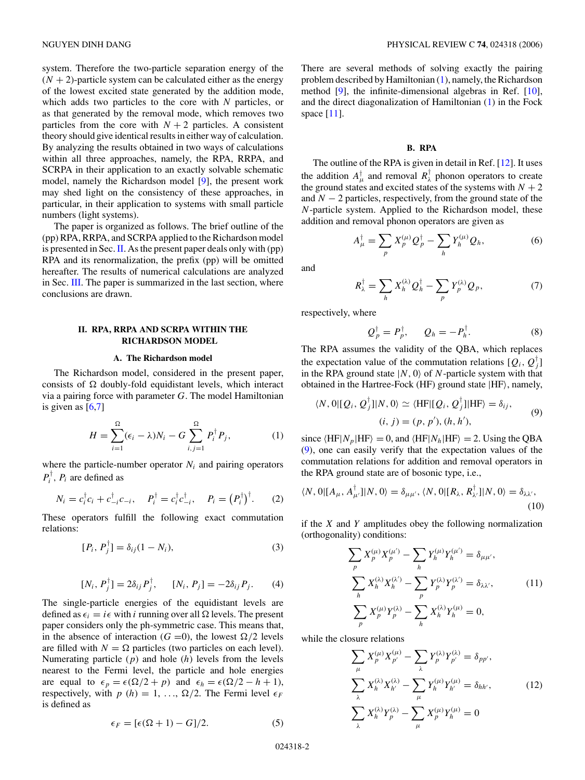<span id="page-1-0"></span>system. Therefore the two-particle separation energy of the  $(N + 2)$ -particle system can be calculated either as the energy of the lowest excited state generated by the addition mode, which adds two particles to the core with *N* particles, or as that generated by the removal mode, which removes two particles from the core with  $N + 2$  particles. A consistent theory should give identical results in either way of calculation. By analyzing the results obtained in two ways of calculations within all three approaches, namely, the RPA, RRPA, and SCRPA in their application to an exactly solvable schematic model, namely the Richardson model [\[9\]](#page-6-0), the present work may shed light on the consistency of these approaches, in particular, in their application to systems with small particle numbers (light systems).

The paper is organized as follows. The brief outline of the (pp) RPA, RRPA, and SCRPA applied to the Richardson model is presented in Sec.II. As the present paper deals only with (pp) RPA and its renormalization, the prefix (pp) will be omitted hereafter. The results of numerical calculations are analyzed in Sec. [III.](#page-4-0) The paper is summarized in the last section, where conclusions are drawn.

# **II. RPA, RRPA AND SCRPA WITHIN THE RICHARDSON MODEL**

### **A. The Richardson model**

The Richardson model, considered in the present paper, consists of  $\Omega$  doubly-fold equidistant levels, which interact via a pairing force with parameter *G*. The model Hamiltonian<br>
is given as [6,7]<br>  $H = \sum_{i=1}^{\Omega} (\epsilon_i - \lambda) N_i - G \sum_{i=1}^{\Omega} P_i^{\dagger} P_j,$  (1) is given as  $[6,7]$ 

$$
H = \sum_{i=1}^{\Omega} (\epsilon_i - \lambda) N_i - G \sum_{i,j=1}^{\Omega} P_i^{\dagger} P_j, \qquad (1)
$$

where the particle-number operator  $N_i$  and pairing operators  $P_i^{\dagger}$ ,  $P_i$  are defined as  $N_i$  and pairi<br> $\sum_{i=1}^{n}$ ,  $P_i =$  (

$$
N_i = c_i^{\dagger} c_i + c_{-i}^{\dagger} c_{-i}, \quad P_i^{\dagger} = c_i^{\dagger} c_{-i}^{\dagger}, \quad P_i = (P_i^{\dagger})^{\dagger}.
$$
 (2)

These operators fulfill the following exact commutation relations:

$$
[P_i, P_j^{\dagger}] = \delta_{ij}(1 - N_i), \tag{3}
$$

$$
[N_i, P_j^{\dagger}] = 2\delta_{ij} P_j^{\dagger}, \qquad [N_i, P_j] = -2\delta_{ij} P_j. \qquad (4)
$$

The single-particle energies of the equidistant levels are defined as  $\epsilon_i = i\epsilon$  with *i* running over all  $\Omega$  levels. The present paper considers only the ph-symmetric case. This means that, in the absence of interaction ( $G = 0$ ), the lowest  $\Omega/2$  levels are filled with  $N = \Omega$  particles (two particles on each level). Numerating particle (*p*) and hole (*h*) levels from the levels nearest to the Fermi level, the particle and hole energies are equal to  $\epsilon_p = \epsilon(\Omega/2 + p)$  and  $\epsilon_h = \epsilon(\Omega/2 - h + 1)$ , respectively, with  $p(h) = 1, \ldots, \Omega/2$ . The Fermi level  $\epsilon_F$ is defined as

$$
\epsilon_F = [\epsilon(\Omega + 1) - G]/2. \tag{5}
$$

There are several methods of solving exactly the pairing problem described by Hamiltonian (1), namely, the Richardson method [\[9\]](#page-6-0), the infinite-dimensional algebras in Ref. [\[10\]](#page-6-0), and the direct diagonalization of Hamiltonian (1) in the Fock space [\[11\]](#page-6-0).

### **B. RPA**

The outline of the RPA is given in detail in Ref. [\[12\]](#page-6-0). It uses the addition  $A^{\dagger}_{\mu}$  and removal  $R^{\dagger}_{\lambda}$  phonon operators to create the ground states and excited states of the systems with  $N + 2$ and *N* − 2 particles, respectively, from the ground state of the *N*-particle system. Applied to the Richardson model, these addition and removal phonon operators are given as icles, respectively, from<br>tem. Applied to the Ripport<br>moval phonon operator<br> $\frac{1}{\mu} = \sum X_p^{(\mu)} Q_p^{\dagger} - \sum$ 

$$
A_{\mu}^{\dagger} = \sum_{p} X_{p}^{(\mu)} Q_{p}^{\dagger} - \sum_{h} Y_{h}^{(\mu)} Q_{h},
$$
\n
$$
R_{\lambda}^{\dagger} = \sum_{h} X_{h}^{(\lambda)} Q_{h}^{\dagger} - \sum_{h} Y_{p}^{(\lambda)} Q_{p},
$$
\n(7)

and

$$
R_{\lambda}^{\dagger} = \sum_{h} X_{h}^{(\lambda)} Q_{h}^{\dagger} - \sum_{p} Y_{p}^{(\lambda)} Q_{p}, \qquad (7)
$$

respectively, where

$$
Q_p^{\dagger} = P_p^{\dagger}, \qquad Q_h = -P_h^{\dagger}.
$$
 (8)

The RPA assumes the validity of the QBA, which replaces the expectation value of the commutation relations  $[Q_i, Q_j]$ in the RPA ground state  $|N, 0\rangle$  of *N*-particle system with that obtained in the Hartree-Fock  $(HF)$  ground state  $|HF\rangle$ , namely,

$$
\langle N, 0 | [Q_i, Q_j^{\dagger}] | N, 0 \rangle \simeq \langle \text{HF} | [Q_i, Q_j^{\dagger}] | \text{HF} \rangle = \delta_{ij},
$$
  
(i, j) = (p, p'), (h, h'), (9)

since  $\langle HF|N_p|HF\rangle = 0$ , and  $\langle HF|N_h|HF\rangle = 2$ . Using the QBA (9), one can easily verify that the expectation values of the commutation relations for addition and removal operators in the RPA ground state are of bosonic type, i.e.,

$$
\langle N, 0|[A_{\mu}, A^{\dagger}_{\mu'}]|N, 0\rangle = \delta_{\mu\mu'}, \langle N, 0|[R_{\lambda}, R^{\dagger}_{\lambda'}]|N, 0\rangle = \delta_{\lambda\lambda'},
$$
\n(10)

if the *X* and *Y* amplitudes obey the following normalization (orthogonality) conditions: vertices obey<br> *p*  $\frac{(\mu')}{p} - \sum$ 

ality) conditions:

\n
$$
\sum_{p} X_{p}^{(\mu)} X_{p}^{(\mu')} - \sum_{h} Y_{h}^{(\mu)} Y_{h}^{(\mu')} = \delta_{\mu\mu'},
$$
\n
$$
\sum_{h} X_{h}^{(\lambda)} X_{h}^{(\lambda')} - \sum_{p} Y_{p}^{(\lambda)} Y_{p}^{(\lambda')} = \delta_{\lambda\lambda'},
$$
\n(11)

\n
$$
\sum_{p} X_{p}^{(\mu)} Y_{p}^{(\lambda)} - \sum_{h} X_{h}^{(\lambda)} Y_{h}^{(\mu)} = 0,
$$
\nclosure relations

\n
$$
\sum_{p} X_{p}^{(\mu)} X_{p'}^{(\mu)} - \sum_{p} Y_{p}^{(\lambda)} Y_{p'}^{(\lambda)} = \delta_{pp'},
$$

while the closure relations

$$
\text{source relations} \sum_{\mu} X_p^{(\mu)} X_{p'}^{(\mu)} - \sum_{\lambda} Y_p^{(\lambda)} Y_{p'}^{(\lambda)} = \delta_{pp'},
$$
\n
$$
\sum_{\lambda} X_h^{(\lambda)} X_{h'}^{(\lambda)} - \sum_{\mu} Y_h^{(\mu)} Y_{h'}^{(\mu)} = \delta_{hh'}, \qquad (12)
$$
\n
$$
\sum_{\lambda} X_h^{(\lambda)} Y_p^{(\lambda)} - \sum_{\mu} X_p^{(\mu)} Y_h^{(\mu)} = 0
$$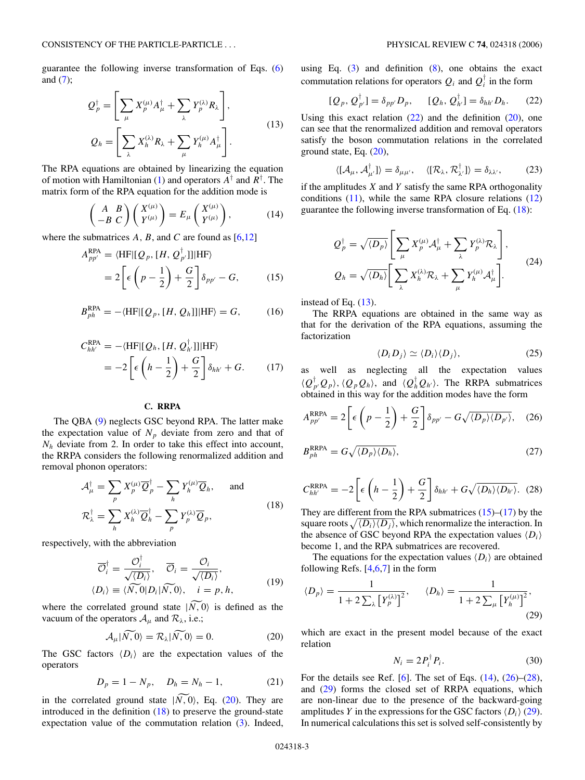<span id="page-2-0"></span>guarantee the following inverse transformation of Eqs. [\(6\)](#page-1-0) and  $(7)$ ;

he following inverse transformation of Eqs. (6)  
\n
$$
Q_p^{\dagger} = \left[ \sum_{\mu} X_p^{(\mu)} A_{\mu}^{\dagger} + \sum_{\lambda} Y_p^{(\lambda)} R_{\lambda} \right],
$$
\n
$$
Q_h = \left[ \sum_{\lambda} X_h^{(\lambda)} R_{\lambda} + \sum_{\mu} Y_h^{(\mu)} A_{\mu}^{\dagger} \right].
$$
\n(13)

The RPA equations are obtained by linearizing the equation of motion with Hamiltonian [\(1\)](#page-1-0) and operators *A*† and *R*† . The matrix form of the RPA equation for the addition mode is ations are obtain<br> *A B A B A**B A**B C*  $\begin{pmatrix} X^{(\mu)} \\ Y^{(\mu)} \end{pmatrix}$ 

$$
\begin{pmatrix} A & B \\ -B & C \end{pmatrix} \begin{pmatrix} X^{(\mu)} \\ Y^{(\mu)} \end{pmatrix} = E_{\mu} \begin{pmatrix} X^{(\mu)} \\ Y^{(\mu)} \end{pmatrix}, \tag{14}
$$

where the submatrices  $A$ ,  $B$ , and  $C$  are found as  $[6,12]$ 

$$
A_{pp'}^{\text{RPA}} = \langle \text{HF} | [Q_p, [H, Q_{p'}^{\dagger}]] | \text{HF} \rangle
$$
  
= 
$$
2 \left[ \epsilon \left( p - \frac{1}{2} \right) + \frac{G}{2} \right] \delta_{pp'} - G,
$$
 (15)

$$
B_{ph}^{\text{RPA}} = -\langle \text{HF} | [Q_p, [H, Q_h]] | \text{HF} \rangle = G, \quad (16)
$$

$$
C_{hh'}^{\text{RPA}} = -\langle \text{HF} | [Q_h, [H, Q_{h'}^\dagger]] | \text{HF} \rangle
$$
  
= 
$$
-2 \left[ \epsilon \left( h - \frac{1}{2} \right) + \frac{G}{2} \right] \delta_{hh'} + G.
$$
 (17)

# **C. RRPA**

The QBA [\(9\)](#page-1-0) neglects GSC beyond RPA. The latter make the expectation value of  $N_p$  deviate from zero and that of  $N_h$  deviate from 2. In order to take this effect into account, the RRPA considers the following renormalized addition and removal phonon operators: from 2. In order to tak<br>onsiders the following<br>non operators:<br> $\frac{1}{\mu} = \sum X_p^{(\mu)} \overline{Q}_p^{\dagger} - \sum_{\mu}$ 

nonon operators:

\n
$$
\mathcal{A}_{\mu}^{\dagger} = \sum_{p} X_{p}^{(\mu)} \overline{Q}_{p}^{\dagger} - \sum_{h} Y_{h}^{(\mu)} \overline{Q}_{h}, \quad \text{and}
$$
\n
$$
\mathcal{R}_{\lambda}^{\dagger} = \sum_{h} X_{h}^{(\lambda)} \overline{Q}_{h}^{\dagger} - \sum_{p} Y_{p}^{(\lambda)} \overline{Q}_{p},
$$
\n(18)

respectively, with the abbreviation

$$
\overline{O}_{i}^{\dagger} = \frac{\mathcal{O}_{i}^{\dagger}}{\sqrt{\langle D_{i} \rangle}}, \quad \overline{\mathcal{O}}_{i} = \frac{\mathcal{O}_{i}}{\sqrt{\langle D_{i} \rangle}},
$$
\n
$$
\langle D_{i} \rangle \equiv \langle \overline{N}, 0 | D_{i} | \overline{N}, 0 \rangle, \quad i = p, h,
$$
\nwhere the correlated ground state  $|\overline{N}, 0\rangle$  is defined as the

vacuum of the operators  $A_\mu$  and  $R_\lambda$ , i.e.; Example 1 and  $R_{\lambda}$ ,<br>  $A_{\mu} | N, 0 \rangle = R_{\lambda} | N, 0 \rangle$ 

$$
\mathcal{A}_{\mu}|\widetilde{N,0}\rangle = \mathcal{R}_{\lambda}|\widetilde{N,0}\rangle = 0.
$$
 (20)

The GSC factors  $\langle D_i \rangle$  are the expectation values of the operators

$$
D_p = 1 - N_p, \quad D_h = N_h - 1,\tag{21}
$$

operators<br>  $D_p = 1 - N_p$ ,  $D_h = N_h - 1$ , (21)<br>
in the correlated ground state  $|\widetilde{N, 0}\rangle$ , Eq. (20). They are introduced in the definition  $(18)$  to preserve the ground-state expectation value of the commutation relation [\(3\)](#page-1-0). Indeed, using Eq.  $(3)$  and definition  $(8)$ , one obtains the exact commutation relations for operators  $Q_i$  and  $Q_i^{\dagger}$  in the form

$$
[Q_p, Q_{p'}^{\dagger}] = \delta_{pp'} D_p, \qquad [Q_h, Q_{h'}^{\dagger}] = \delta_{hh'} D_h. \qquad (22)
$$

Using this exact relation  $(22)$  and the definition  $(20)$ , one can see that the renormalized addition and removal operators satisfy the boson commutation relations in the correlated ground state, Eq. (20),

$$
\langle [\mathcal{A}_{\mu}, \mathcal{A}_{\mu'}^{\dagger}] \rangle = \delta_{\mu \mu'}, \quad \langle [\mathcal{R}_{\lambda}, \mathcal{R}_{\lambda'}^{\dagger}] \rangle = \delta_{\lambda \lambda'}, \tag{23}
$$

if the amplitudes  $X$  and  $Y$  satisfy the same RPA orthogonality conditions  $(11)$ , while the same RPA closure relations  $(12)$ guarantee the following inverse transformation of Eq. (18):

ons (11), while the same RPA closure relations (12)  
be the following inverse transformation of Eq. (18):  

$$
Q_p^{\dagger} = \sqrt{\langle D_p \rangle} \left[ \sum_{\mu} X_p^{(\mu)} \mathcal{A}_{\mu}^{\dagger} + \sum_{\lambda} Y_p^{(\lambda)} \mathcal{R}_{\lambda} \right],
$$

$$
Q_h = \sqrt{\langle D_h \rangle} \left[ \sum_{\lambda} X_h^{(\lambda)} \mathcal{R}_{\lambda} + \sum_{\mu} Y_h^{(\mu)} \mathcal{A}_{\mu}^{\dagger} \right].
$$
(24)

instead of Eq. (13).

The RRPA equations are obtained in the same way as that for the derivation of the RPA equations, assuming the factorization

$$
\langle D_i D_j \rangle \simeq \langle D_i \rangle \langle D_j \rangle, \tag{25}
$$

as well as neglecting all the expectation values  $\langle Q_{p'}^{\dagger} Q_p \rangle$ ,  $\langle Q_p Q_h \rangle$ , and  $\langle Q_h^{\dagger} Q_{h'} \rangle$ . The RRPA submatrices obtained in this way for the addition modes have the form

$$
A_{pp'}^{\text{RRPA}} = 2 \left[ \epsilon \left( p - \frac{1}{2} \right) + \frac{G}{2} \right] \delta_{pp'} - G \sqrt{\langle D_p \rangle \langle D_{p'} \rangle}, \quad (26)
$$

$$
B_{ph}^{\text{RRPA}} = G\sqrt{\langle D_p \rangle \langle D_h \rangle},\tag{27}
$$

$$
C_{hh'}^{\text{RRPA}} = -2 \left[ \epsilon \left( h - \frac{1}{2} \right) + \frac{G}{2} \right] \delta_{hh'} + G \sqrt{\langle D_h \rangle \langle D_{h'} \rangle}.
$$
 (28)  
They are different from the RPA submatrices (15)–(17) by the  
square roots  $\sqrt{\langle D_i \rangle \langle D_j \rangle}$ , which renormalize the interaction. In

They are different from the RPA submatrices  $(15)$ – $(17)$  by the  $\langle D_j \rangle$ , which renormalize the interaction. In the absence of GSC beyond RPA the expectation values  $\langle D_i \rangle$ become 1, and the RPA submatrices are recovered.

The equations for the expectation values  $\langle D_i \rangle$  are obtained following Refs.  $[4,6,7]$  in the form

$$
\langle D_p \rangle = \frac{1}{1 + 2 \sum_{\lambda} \left[ Y_p^{(\lambda)} \right]^2}, \qquad \langle D_h \rangle = \frac{1}{1 + 2 \sum_{\mu} \left[ Y_h^{(\mu)} \right]^2},\tag{29}
$$

which are exact in the present model because of the exact relation

$$
N_i = 2P_i^{\dagger} P_i. \tag{30}
$$

For the details see Ref. [\[6\]](#page-6-0). The set of Eqs.  $(14)$ ,  $(26)$ – $(28)$ , and (29) forms the closed set of RRPA equations, which are non-linear due to the presence of the backward-going amplitudes *Y* in the expressions for the GSC factors  $\langle D_i \rangle$  (29). In numerical calculations this set is solved self-consistently by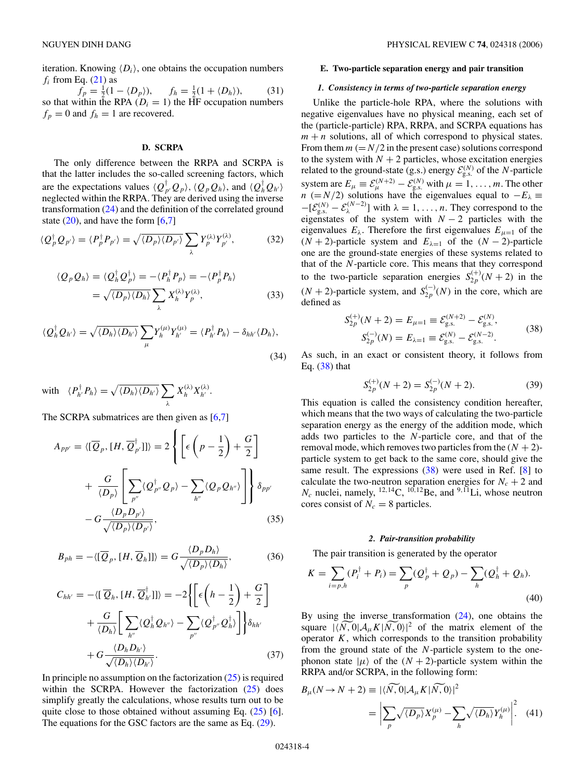<span id="page-3-0"></span>iteration. Knowing  $\langle D_i \rangle$ , one obtains the occupation numbers  $f_i$  from Eq. [\(21\)](#page-2-0) as

 $f_p = \frac{1}{2}(1 - \langle D_p \rangle), \quad f_h = \frac{1}{2}(1 + \langle D_h \rangle)$ )*,* (31) so that within the RPA  $(D<sub>i</sub> = 1)$  the HF occupation numbers  $f_p = 0$  and  $f_h = 1$  are recovered.

#### **D. SCRPA**

The only difference between the RRPA and SCRPA is that the latter includes the so-called screening factors, which are the expectations values  $\langle Q_p^{\dagger} Q_p \rangle$ ,  $\langle Q_p Q_h \rangle$ , and  $\langle Q_h^{\dagger} Q_{h'} \rangle$ neglected within the RRPA. They are derived using the inverse<br>transformation (24) and the definition of the correlated ground<br>state (20), and have the form [6,7]<br> $\langle Q_p^{\dagger} Q_{p'} \rangle = \langle P_p^{\dagger} P_{p'} \rangle = \sqrt{\langle D_p \rangle \langle D_{p'} \rangle} \sum Y_p^{(\lambda)} Y$ transformation [\(24\)](#page-2-0) and the definition of the correlated ground state  $(20)$ , and have the form  $[6,7]$ 

$$
\langle Q_p^{\dagger} Q_{p'} \rangle = \langle P_p^{\dagger} P_{p'} \rangle = \sqrt{\langle D_p \rangle \langle D_{p'} \rangle} \sum_{\lambda} Y_p^{\left(\lambda\right)} Y_{p'}^{\left(\lambda\right)},\tag{32}
$$

$$
\langle Q_p Q_h \rangle = \langle Q_h^{\dagger} Q_p^{\dagger} \rangle = - \langle P_h^{\dagger} P_p \rangle = - \langle P_p^{\dagger} P_h \rangle
$$
  
=  $\sqrt{\langle D_p \rangle \langle D_h \rangle} \sum_{\lambda} X_h^{(\lambda)} Y_p^{(\lambda)},$  (33)  

$$
\langle Q_{h'} \rangle = \sqrt{\langle D_h \rangle \langle D_{h'} \rangle} \sum Y_h^{(\mu)} Y_{h'}^{(\mu)} = \langle P_h^{\dagger} P_h \rangle - \delta_{hh'} \langle D_h \rangle,
$$

$$
\langle Q_h^{\dagger} Q_{h'} \rangle = \sqrt{\langle D_h \rangle \langle D_{h'} \rangle} \sum_{\mu} Y_h^{(\mu)} Y_{h'}^{(\mu)} = \langle P_{h'}^{\dagger} P_h \rangle - \delta_{hh'} \langle D_h \rangle,
$$
\n(34)

\nwith 
$$
\langle P_{h'}^{\dagger} P_h \rangle = \sqrt{\langle D_h \rangle \langle D_{h'} \rangle} \sum X_h^{(\lambda)} X_{h'}^{(\lambda)}.
$$

*λ*  $\sum X_h^{(\lambda)} X_{h'}^{(\lambda)}$ .  $\mathcal{L}^{\mathbf{A}_h, \mathbf{A}}$ 

The SCRPA submatrices are then given as [\[6,7\]](#page-6-0)

$$
A_{pp'} = \langle [\overline{Q}_p, [H, \overline{Q}_{p'}^\dagger]] \rangle = 2 \left\{ \left[ \epsilon \left( p - \frac{1}{2} \right) + \frac{G}{2} \right] + \frac{G}{\langle D_p \rangle} \left[ \sum_{p''} \langle Q_{p''}^\dagger Q_p \rangle - \sum_{h''} \langle Q_p Q_{h''} \rangle \right] \right\} \delta_{pp'}
$$

$$
- G \frac{\langle D_p D_{p'} \rangle}{\sqrt{\langle D_p \rangle \langle D_{p'} \rangle}}, \tag{35}
$$

$$
B_{ph} = -\langle [\overline{Q}_p, [H, \overline{Q}_h]] \rangle = G \frac{\langle D_p D_h \rangle}{\sqrt{\langle D_p \rangle \langle D_h \rangle}},
$$
(36)

$$
C_{hh'} = -\langle [\overline{Q}_h, [H, \overline{Q}_h^{\dagger}] ] \rangle = -2 \left\{ \left[ \epsilon \left( h - \frac{1}{2} \right) + \frac{G}{2} \right] + \frac{G}{\langle D_h \rangle} \left[ \sum_{h''} \langle Q_h^{\dagger} Q_{h''} \rangle - \sum_{p''} \langle Q_{p''}^{\dagger} Q_h^{\dagger} \rangle \right] \right\} \delta_{hh'}
$$

$$
+ G \frac{\langle D_h D_{h'} \rangle}{\sqrt{\langle D_h \rangle \langle D_{h'} \rangle}}. \tag{37}
$$

In principle no assumption on the factorization  $(25)$  is required within the SCRPA. However the factorization  $(25)$  does simplify greatly the calculations, whose results turn out to be quite close to those obtained without assuming Eq.  $(25)$  [\[6\]](#page-6-0). The equations for the GSC factors are the same as Eq. [\(29\)](#page-2-0).

## **E. Two-particle separation energy and pair transition**

# *1. Consistency in terms of two-particle separation energy*

Unlike the particle-hole RPA, where the solutions with negative eigenvalues have no physical meaning, each set of the (particle-particle) RPA, RRPA, and SCRPA equations has  $m + n$  solutions, all of which correspond to physical states. From them  $m (= N/2)$  in the present case) solutions correspond to the system with  $N + 2$  particles, whose excitation energies related to the ground-state (g.s.) energy  $\mathcal{E}_{g.s.}^{(N)}$  of the *N*-particle system are  $E_{\mu} \equiv \mathcal{E}_{\mu}^{(N+2)} - \mathcal{E}_{\text{g.s.}}^{(N)}$  with  $\mu = 1, \dots, m$ . The other *n* (=*N/*2) solutions have the eigenvalues equal to  $-E_{\lambda}$  ≡  $-[{\mathcal E}^{(N)}_{\text{g.s.}} - {\mathcal E}^{(N-2)}_{\lambda}]$  with  $\lambda = 1, \ldots, n$ . They correspond to the eigenstates of the system with  $N-2$  particles with the eigenvalues  $E_{\lambda}$ . Therefore the first eigenvalues  $E_{\mu=1}$  of the  $(N + 2)$ -particle system and  $E_{\lambda=1}$  of the  $(N - 2)$ -particle one are the ground-state energies of these systems related to that of the *N*-particle core. This means that they correspond to the two-particle separation energies  $S_{2p}^{(+)}(N+2)$  in the  $(N + 2)$ -particle system, and  $S_{2p}^{(-)}(N)$  in the core, which are defined as

$$
S_{2p}^{(+)}(N+2) = E_{\mu=1} \equiv \mathcal{E}_{g.s.}^{(N+2)} - \mathcal{E}_{g.s.}^{(N)},
$$
  
\n
$$
S_{2p}^{(-)}(N) = E_{\lambda=1} \equiv \mathcal{E}_{g.s.}^{(N)} - \mathcal{E}_{g.s.}^{(N-2)}.
$$
\n(38)

As such, in an exact or consistent theory, it follows from Eq.  $(38)$  that

$$
S_{2p}^{(+)}(N+2) = S_{2p}^{(-)}(N+2). \tag{39}
$$

This equation is called the consistency condition hereafter, which means that the two ways of calculating the two-particle separation energy as the energy of the addition mode, which adds two particles to the *N*-particle core, and that of the removal mode, which removes two particles from the  $(N + 2)$ particle system to get back to the same core, should give the same result. The expressions (38) were used in Ref. [\[8\]](#page-6-0) to calculate the two-neutron separation energies for  $N_c + 2$  and  $N_c$  nuclei, namely, <sup>12, 14</sup>C, <sup>10, 12</sup>Be, and <sup>9, 11</sup>Li, whose neutron cores consist of  $N_c = 8$  particles.

### *2. Pair-transition probability*

The pair transition is generated by the operator

2. *Pair-transition probability*  
The pair transition is generated by the operator  

$$
K = \sum_{i=p,h} (P_i^{\dagger} + P_i) = \sum_p (Q_p^{\dagger} + Q_p) - \sum_h (Q_h^{\dagger} + Q_h).
$$
(40)

By using the inverse transformation  $(24)$ , one obtains the By using the inverse transformation (24), one obtains the square  $|\langle N, 0|A_{\mu}K|N, 0\rangle|^2$  of the matrix element of the operator  $K$ , which corresponds to the transition probability from the ground state of the *N*-particle system to the onephonon state  $|\mu\rangle$  of the  $(N + 2)$ -particle system within the RRPA and/or SCRPA, in the following form: from the ground state of the *N*-pare<br>phonon state  $|\mu\rangle$  of the  $(N + 2)$ -pare<br>RRPA and/or SCRPA, in the followir<br> $B_{\mu}(N \rightarrow N + 2) \equiv |\langle \widetilde{N}, 0| A_{\mu} K | \widetilde{N}, \widetilde{N} \rangle$ f the  $(N + 2)$ -particle system wit<br>A in the following form:

$$
B_{\mu}(N \to N+2) \equiv |\langle \widetilde{N, 0} | A_{\mu} K | \widetilde{N, 0} \rangle|^2
$$
  
= 
$$
\left| \sum_{p} \sqrt{\langle D_p \rangle} X_p^{(\mu)} - \sum_{h} \sqrt{\langle D_h \rangle} Y_h^{(\mu)} \right|^2.
$$
 (41)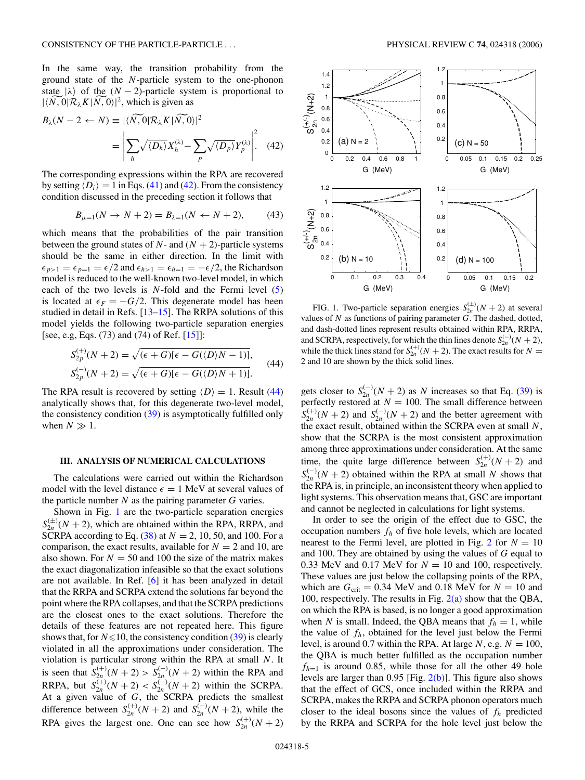<span id="page-4-0"></span>In the same way, the transition probability from the ground state of the *N*-particle system to the one-phonon state  $|\lambda\rangle$  of the  $(N-2)$ -particle system is proportional to  $1/N$  0.1 $\overline{R}$ ,  $K|\overline{N}$  0.1<sup>2</sup> which is given as In the same way, the transition<br>ground state of the *N*-particle syste<br>state  $|\lambda\rangle$  of the  $(N-2)$ -particle syst<br> $|\langle N, 0 | \mathcal{R}_{\lambda} K | N, 0 \rangle|^2$ , which is given as *Bha*(*N* − 2 + *B*) state of the *N* − 2*y*-particle syst<br>  $|\langle N, 0 | \mathcal{R}_{\lambda} K | N, 0 \rangle|^2$ , which is given a<br>  $B_{\lambda}(N - 2 \leftarrow N) \equiv |\langle N, 0 | \mathcal{R}_{\lambda} K | N, 0 \rangle|$  $\ddot{\phantom{0}}$ which is given as

$$
B_{\lambda}(N-2 \leftarrow N) \equiv |\langle \widetilde{N, 0} | \mathcal{R}_{\lambda} K | \widetilde{N, 0} \rangle|^2
$$
  
= 
$$
\left| \sum_{h} \sqrt{\langle D_{h} \rangle} X_{h}^{(\lambda)} - \sum_{p} \sqrt{\langle D_{p} \rangle} Y_{p}^{(\lambda)} \right|^2.
$$
 (42)

The corresponding expressions within the RPA are recovered by setting  $\langle D_i \rangle = 1$  in Eqs. [\(41\)](#page-3-0) and (42). From the consistency condition discussed in the preceding section it follows that

$$
B_{\mu=1}(N \to N+2) = B_{\lambda=1}(N \leftarrow N+2), \tag{43}
$$

which means that the probabilities of the pair transition between the ground states of  $N$ - and  $(N + 2)$ -particle systems should be the same in either direction. In the limit with  $\epsilon_{p>1} = \epsilon_{p=1} = \epsilon/2$  and  $\epsilon_{h>1} = \epsilon_{h=1} = -\epsilon/2$ , the Richardson model is reduced to the well-known two-level model, in which each of the two levels is *N*-fold and the Fermi level [\(5\)](#page-1-0) is located at  $\epsilon_F = -G/2$ . This degenerate model has been studied in detail in Refs. [\[13–15\]](#page-6-0). The RRPA solutions of this model yields the following two-particle separation energies m detail in Refs.<br>ields the followitelds the followite<br>Basic (73) and (74)<br> $\binom{(+)}{2p}(N+2) = \sqrt{p^2+2p^2}$ 

Another yields the following two-particle separation energies

\n[see, e.g., Eqs. (73) and (74) of Ref [15]]:

\n
$$
S_{2p}^{(+)}(N+2) = \sqrt{(\epsilon + G)[\epsilon - G(\langle D \rangle N - 1)]},
$$
\n
$$
S_{2p}^{(-)}(N+2) = \sqrt{(\epsilon + G)[\epsilon - G(\langle D \rangle N + 1)]}.
$$
\n(44)

The RPA result is recovered by setting  $\langle D \rangle = 1$ . Result (44) analytically shows that, for this degenerate two-level model, the consistency condition [\(39\)](#page-3-0) is asymptotically fulfilled only when  $N \gg 1$ .

## **III. ANALYSIS OF NUMERICAL CALCULATIONS**

The calculations were carried out within the Richardson model with the level distance  $\epsilon = 1$  MeV at several values of the particle number *N* as the pairing parameter *G* varies.

Shown in Fig. 1 are the two-particle separation energies  $S_{2n}^{(\pm)}(N+2)$ , which are obtained within the RPA, RRPA, and SCRPA according to Eq. [\(38\)](#page-3-0) at *N* = 2, 10, 50, and 100. For a comparison, the exact results, available for  $N = 2$  and 10, are also shown. For  $N = 50$  and 100 the size of the matrix makes the exact diagonalization infeasible so that the exact solutions are not available. In Ref. [\[6\]](#page-6-0) it has been analyzed in detail that the RRPA and SCRPA extend the solutions far beyond the point where the RPA collapses, and that the SCRPA predictions are the closest ones to the exact solutions. Therefore the details of these features are not repeated here. This figure shows that, for  $N \le 10$ , the consistency condition [\(39\)](#page-3-0) is clearly violated in all the approximations under consideration. The violation is particular strong within the RPA at small *N*. It is seen that  $S_{2n}^{(+)}(N+2) > S_{2n}^{(-)}(N+2)$  within the RPA and RRPA, but  $S_{2n}^{(+)}(N+2) < S_{2n}^{(-)}(N+2)$  within the SCRPA. At a given value of *G*, the SCRPA predicts the smallest difference between  $S_{2n}^{(+)}(N+2)$  and  $S_{2n}^{(-)}(N+2)$ , while the RPA gives the largest one. One can see how  $S_{2n}^{(+)}(N+2)$ 



FIG. 1. Two-particle separation energies  $S_{2n}^{(\pm)}(N + 2)$  at several values of *N* as functions of pairing parameter *G*. The dashed, dotted, and dash-dotted lines represent results obtained within RPA, RRPA, and SCRPA, respectively, for which the thin lines denote  $S_{2n}^{(-)}(N+2)$ , while the thick lines stand for  $S_{2n}^{(+)}(N+2)$ . The exact results for  $N=$ 2 and 10 are shown by the thick solid lines.

gets closer to  $S_{2n}^{(-)}(N+2)$  as *N* increases so that Eq. [\(39\)](#page-3-0) is perfectly restored at  $N = 100$ . The small difference between  $S_{2n}^{(+)}(N+2)$  and  $S_{2n}^{(-)}(N+2)$  and the better agreement with the exact result, obtained within the SCRPA even at small *N*, show that the SCRPA is the most consistent approximation among three approximations under consideration. At the same time, the quite large difference between  $S_{2n}^{(+)}(N+2)$  and  $S_{2n}^{(-)}(N+2)$  obtained within the RPA at small *N* shows that the RPA is, in principle, an inconsistent theory when applied to light systems. This observation means that, GSC are important and cannot be neglected in calculations for light systems.

In order to see the origin of the effect due to GSC, the occupation numbers  $f_h$  of five hole levels, which are located nearest to the Fermi level, are plotted in Fig. [2](#page-5-0) for  $N = 10$ and 100. They are obtained by using the values of *G* equal to 0.33 MeV and 0.17 MeV for  $N = 10$  and 100, respectively. These values are just below the collapsing points of the RPA, which are  $G_{\text{crit}} = 0.34 \text{ MeV}$  and 0.18 MeV for  $N = 10$  and 100, respectively. The results in Fig.  $2(a)$  show that the QBA, on which the RPA is based, is no longer a good approximation when *N* is small. Indeed, the QBA means that  $f_h = 1$ , while the value of  $f_h$ , obtained for the level just below the Fermi level, is around 0.7 within the RPA. At large  $N$ , e.g.  $N = 100$ , the QBA is much better fulfilled as the occupation number  $f_{h=1}$  is around 0.85, while those for all the other 49 hole levels are larger than 0.95 [Fig. [2\(b\)\]](#page-5-0). This figure also shows that the effect of GCS, once included within the RRPA and SCRPA, makes the RRPA and SCRPA phonon operators much closer to the ideal bosons since the values of  $f_h$  predicted by the RRPA and SCRPA for the hole level just below the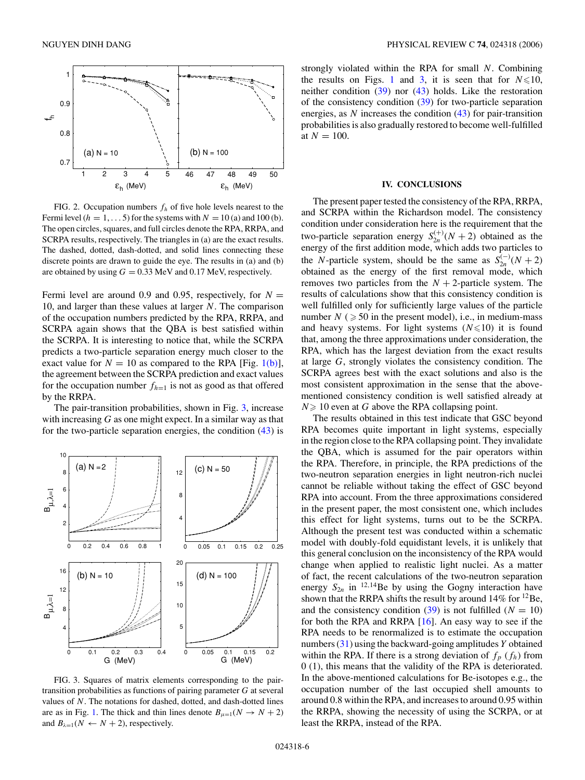<span id="page-5-0"></span>

FIG. 2. Occupation numbers *fh* of five hole levels nearest to the Fermi level  $(h = 1, \ldots, 5)$  for the systems with  $N = 10$  (a) and 100 (b). The open circles, squares, and full circles denote the RPA, RRPA, and SCRPA results, respectively. The triangles in (a) are the exact results. The dashed, dotted, dash-dotted, and solid lines connecting these discrete points are drawn to guide the eye. The results in (a) and (b) are obtained by using  $G = 0.33$  MeV and 0.17 MeV, respectively.

Fermi level are around 0.9 and 0.95, respectively, for  $N =$ 10, and larger than these values at larger *N*. The comparison of the occupation numbers predicted by the RPA, RRPA, and SCRPA again shows that the QBA is best satisfied within the SCRPA. It is interesting to notice that, while the SCRPA predicts a two-particle separation energy much closer to the exact value for  $N = 10$  as compared to the RPA [Fig. [1\(b\)\]](#page-4-0), the agreement between the SCRPA prediction and exact values for the occupation number  $f_{h=1}$  is not as good as that offered by the RRPA.

The pair-transition probabilities, shown in Fig. 3, increase with increasing *G* as one might expect. In a similar way as that for the two-particle separation energies, the condition [\(43\)](#page-4-0) is



FIG. 3. Squares of matrix elements corresponding to the pairtransition probabilities as functions of pairing parameter *G* at several values of *N*. The notations for dashed, dotted, and dash-dotted lines are as in Fig. [1.](#page-4-0) The thick and thin lines denote  $B_{\mu=1}(N \rightarrow N+2)$ and  $B_{\lambda=1}(N \leftarrow N+2)$ , respectively.

strongly violated within the RPA for small *N*. Combining the results on Figs. [1](#page-4-0) and 3, it is seen that for  $N \le 10$ , neither condition [\(39\)](#page-3-0) nor [\(43\)](#page-4-0) holds. Like the restoration of the consistency condition [\(39\)](#page-3-0) for two-particle separation energies, as *N* increases the condition [\(43\)](#page-4-0) for pair-transition probabilities is also gradually restored to become well-fulfilled at  $N = 100$ .

## **IV. CONCLUSIONS**

The present paper tested the consistency of the RPA, RRPA, and SCRPA within the Richardson model. The consistency condition under consideration here is the requirement that the two-particle separation energy  $S_{2n}^{(+)}(N+2)$  obtained as the energy of the first addition mode, which adds two particles to the *N*-particle system, should be the same as  $S_{2n}^{(-)}(N+2)$ obtained as the energy of the first removal mode, which removes two particles from the  $N + 2$ -particle system. The results of calculations show that this consistency condition is well fulfilled only for sufficiently large values of the particle number  $N \geq 50$  in the present model), i.e., in medium-mass and heavy systems. For light systems  $(N \le 10)$  it is found that, among the three approximations under consideration, the RPA, which has the largest deviation from the exact results at large *G*, strongly violates the consistency condition. The SCRPA agrees best with the exact solutions and also is the most consistent approximation in the sense that the abovementioned consistency condition is well satisfied already at  $N \geq 10$  even at *G* above the RPA collapsing point.

The results obtained in this test indicate that GSC beyond RPA becomes quite important in light systems, especially in the region close to the RPA collapsing point. They invalidate the QBA, which is assumed for the pair operators within the RPA. Therefore, in principle, the RPA predictions of the two-neutron separation energies in light neutron-rich nuclei cannot be reliable without taking the effect of GSC beyond RPA into account. From the three approximations considered in the present paper, the most consistent one, which includes this effect for light systems, turns out to be the SCRPA. Although the present test was conducted within a schematic model with doubly-fold equidistant levels, it is unlikely that this general conclusion on the inconsistency of the RPA would change when applied to realistic light nuclei. As a matter of fact, the recent calculations of the two-neutron separation energy  $S_{2n}$  in <sup>12,14</sup>Be by using the Gogny interaction have shown that the RRPA shifts the result by around  $14\%$  for  $^{12}$ Be, and the consistency condition  $(39)$  is not fulfilled  $(N = 10)$ for both the RPA and RRPA [\[16\]](#page-6-0). An easy way to see if the RPA needs to be renormalized is to estimate the occupation numbers [\(31\)](#page-3-0) using the backward-going amplitudes *Y* obtained within the RPA. If there is a strong deviation of  $f_p(f_h)$  from 0 (1), this means that the validity of the RPA is deteriorated. In the above-mentioned calculations for Be-isotopes e.g., the occupation number of the last occupied shell amounts to around 0.8 within the RPA, and increases to around 0.95 within the RRPA, showing the necessity of using the SCRPA, or at least the RRPA, instead of the RPA.